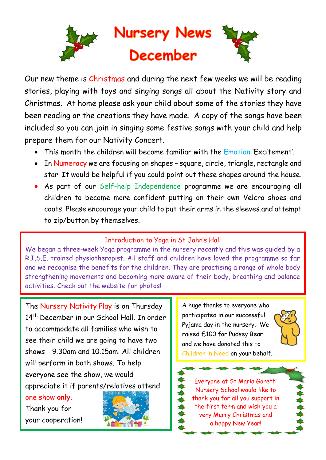

Our new theme is Christmas and during the next few weeks we will be reading stories, playing with toys and singing songs all about the Nativity story and Christmas. At home please ask your child about some of the stories they have been reading or the creations they have made. A copy of the songs have been included so you can join in singing some festive songs with your child and help prepare them for our Nativity Concert.

- This month the children will become familiar with the Emotion 'Excitement'.
- In Numeracy we are focusing on shapes square, circle, triangle, rectangle and star. It would be helpful if you could point out these shapes around the house.
- As part of our Self-help Independence programme we are encouraging all children to become more confident putting on their own Velcro shoes and coats. Please encourage your child to put their arms in the sleeves and attempt to zip/button by themselves.

## Introduction to Yoga in St John's Hall

We began a three-week Yoga programme in the nursery recently and this was guided by a R.I.S.E. trained physiotherapist. All staff and children have loved the programme so far and we recognise the benefits for the children. They are practising a range of whole body strengthening movements and becoming more aware of their body, breathing and balance activities. Check out the website for photos!

The Nursery Nativity Play is on Thursday 14<sup>th</sup> December in our School Hall. In order to accommodate all families who wish to see their child we are going to have two shows - 9.30am and 10.15am. All children will perform in both shows. To help everyone see the show, we would appreciate it if parents/relatives attend

one show **only**.

Thank you for your cooperation!



A huge thanks to everyone who participated in our successful Pyjama day in the nursery. We raised £100 for Pudsey Bear and we have donated this to Children in Need on your behalf.



Everyone at St Maria Goretti Nursery School would like to thank you for all you support in the first term and wish you a very Merry Christmas and a happy New Year!